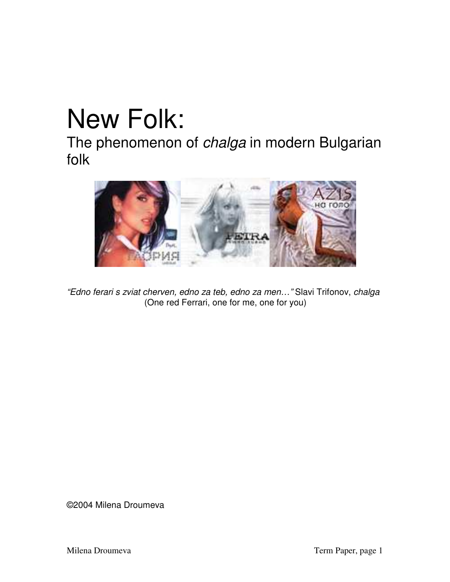## New Folk:

The phenomenon of *chalga* in modern Bulgarian folk



*"Edno ferari s zviat cherven, edno za teb, edno za men…"* Slavi Trifonov, *chalga* (One red Ferrari, one for me, one for you)

©2004 Milena Droumeva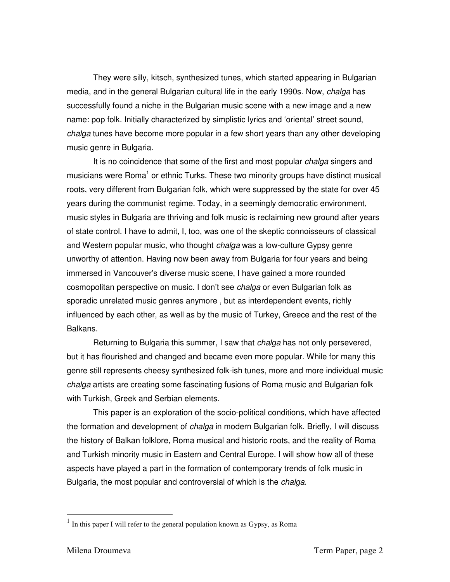They were silly, kitsch, synthesized tunes, which started appearing in Bulgarian media, and in the general Bulgarian cultural life in the early 1990s. Now, *chalga* has successfully found a niche in the Bulgarian music scene with a new image and a new name: pop folk. Initially characterized by simplistic lyrics and 'oriental' street sound, *chalga* tunes have become more popular in a few short years than any other developing music genre in Bulgaria.

It is no coincidence that some of the first and most popular *chalga* singers and musicians were Roma<sup>1</sup> or ethnic Turks. These two minority groups have distinct musical roots, very different from Bulgarian folk, which were suppressed by the state for over 45 years during the communist regime. Today, in a seemingly democratic environment, music styles in Bulgaria are thriving and folk music is reclaiming new ground after years of state control. I have to admit, I, too, was one of the skeptic connoisseurs of classical and Western popular music, who thought *chalga* was a low-culture Gypsy genre unworthy of attention. Having now been away from Bulgaria for four years and being immersed in Vancouver's diverse music scene, I have gained a more rounded cosmopolitan perspective on music. I don't see *chalga* or even Bulgarian folk as sporadic unrelated music genres anymore , but as interdependent events, richly influenced by each other, as well as by the music of Turkey, Greece and the rest of the Balkans.

Returning to Bulgaria this summer, I saw that *chalga* has not only persevered, but it has flourished and changed and became even more popular. While for many this genre still represents cheesy synthesized folk-ish tunes, more and more individual music *chalga* artists are creating some fascinating fusions of Roma music and Bulgarian folk with Turkish, Greek and Serbian elements.

This paper is an exploration of the socio-political conditions, which have affected the formation and development of *chalga* in modern Bulgarian folk. Briefly, I will discuss the history of Balkan folklore, Roma musical and historic roots, and the reality of Roma and Turkish minority music in Eastern and Central Europe. I will show how all of these aspects have played a part in the formation of contemporary trends of folk music in Bulgaria, the most popular and controversial of which is the *chalga*.

<sup>&</sup>lt;sup>1</sup> In this paper I will refer to the general population known as Gypsy, as Roma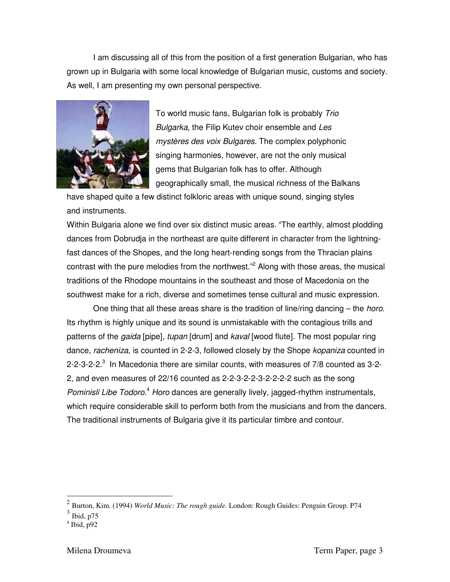I am discussing all of this from the position of a first generation Bulgarian, who has grown up in Bulgaria with some local knowledge of Bulgarian music, customs and society. As well, I am presenting my own personal perspective.



To world music fans, Bulgarian folk is probably *Trio Bulgarka*, the Filip Kutev choir ensemble and *Les mystères des voix Bulgares*. The complex polyphonic singing harmonies, however, are not the only musical gems that Bulgarian folk has to offer. Although geographically small, the musical richness of the Balkans

have shaped quite a few distinct folkloric areas with unique sound, singing styles and instruments.

Within Bulgaria alone we find over six distinct music areas. "The earthly, almost plodding dances from Dobrudja in the northeast are quite different in character from the lightningfast dances of the Shopes, and the long heart-rending songs from the Thracian plains contrast with the pure melodies from the northwest."<sup>2</sup> Along with those areas, the musical traditions of the Rhodope mountains in the southeast and those of Macedonia on the southwest make for a rich, diverse and sometimes tense cultural and music expression.

One thing that all these areas share is the tradition of line/ring dancing – the *horo*. Its rhythm is highly unique and its sound is unmistakable with the contagious trills and patterns of the *gaida* [pipe], *tupan* [drum] and *kaval* [wood flute]. The most popular ring dance, *racheniza*, is counted in 2-2-3, followed closely by the Shope *kopaniza* counted in 2-2-3-2-2. $3$  In Macedonia there are similar counts, with measures of  $7/8$  counted as 3-2-2, and even measures of 22/16 counted as 2-2-3-2-2-3-2-2-2-2 such as the song *Pominisli Libe Todoro*. <sup>4</sup> *Horo* dances are generally lively, jagged-rhythm instrumentals, which require considerable skill to perform both from the musicians and from the dancers. The traditional instruments of Bulgaria give it its particular timbre and contour.

<sup>2</sup> Burton, Kim. (1994) *World Music: The rough guide.* London: Rough Guides: Penguin Group. P74

 $3$  Ibid, p75

 $<sup>4</sup>$  Ibid, p92</sup>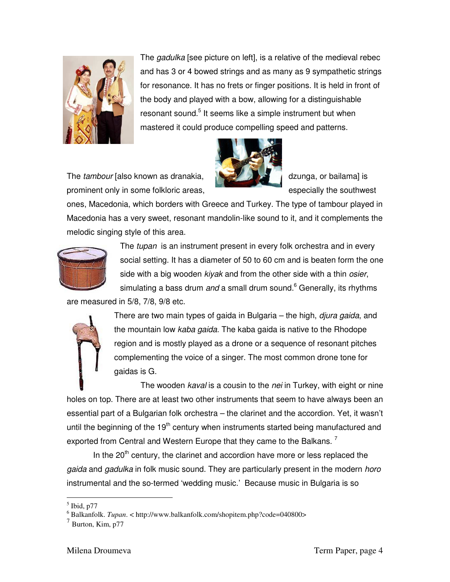

The *gadulka* [see picture on left], is a relative of the medieval rebec and has 3 or 4 bowed strings and as many as 9 sympathetic strings for resonance. It has no frets or finger positions. It is held in front of the body and played with a bow, allowing for a distinguishable resonant sound.<sup>5</sup> It seems like a simple instrument but when mastered it could produce compelling speed and patterns.



The *tambour* [also known as dranakia, details and dzunga, or bailama] is prominent only in some folkloric areas, expecially the southwest

ones, Macedonia, which borders with Greece and Turkey. The type of tambour played in Macedonia has a very sweet, resonant mandolin-like sound to it, and it complements the melodic singing style of this area.



The *tupan* is an instrument present in every folk orchestra and in every social setting. It has a diameter of 50 to 60 cm and is beaten form the one side with a big wooden *kiyak* and from the other side with a thin *osier*, simulating a bass drum *and* a small drum sound.<sup>6</sup> Generally, its rhythms

are measured in 5/8, 7/8, 9/8 etc.



There are two main types of gaida in Bulgaria – the high, *djura gaida*, and the mountain low *kaba gaida*. The kaba gaida is native to the Rhodope region and is mostly played as a drone or a sequence of resonant pitches complementing the voice of a singer. The most common drone tone for gaidas is G.

The wooden *kaval* is a cousin to the *nei* in Turkey, with eight or nine holes on top. There are at least two other instruments that seem to have always been an essential part of a Bulgarian folk orchestra – the clarinet and the accordion. Yet, it wasn't until the beginning of the  $19<sup>th</sup>$  century when instruments started being manufactured and exported from Central and Western Europe that they came to the Balkans.<sup>7</sup>

In the  $20<sup>th</sup>$  century, the clarinet and accordion have more or less replaced the *gaida* and *gadulka* in folk music sound. They are particularly present in the modern *horo* instrumental and the so-termed 'wedding music.' Because music in Bulgaria is so

 $\overline{a}$  $<sup>5</sup>$  Ibid, p77</sup>

<sup>6</sup> Balkanfolk. *Tupan*. < http://www.balkanfolk.com/shopitem.php?code=040800>

 $^7$  Burton, Kim, p77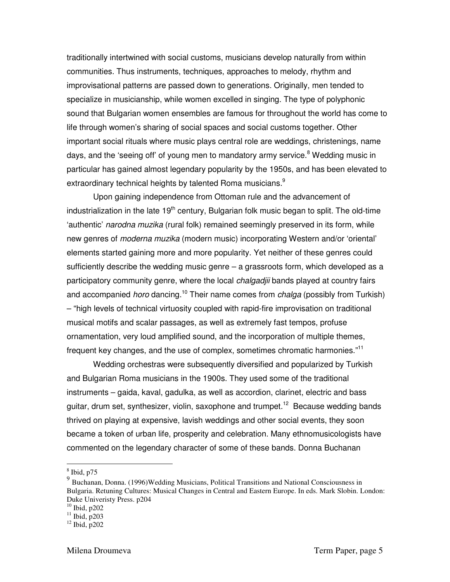traditionally intertwined with social customs, musicians develop naturally from within communities. Thus instruments, techniques, approaches to melody, rhythm and improvisational patterns are passed down to generations. Originally, men tended to specialize in musicianship, while women excelled in singing. The type of polyphonic sound that Bulgarian women ensembles are famous for throughout the world has come to life through women's sharing of social spaces and social customs together. Other important social rituals where music plays central role are weddings, christenings, name days, and the 'seeing off' of young men to mandatory army service.<sup>8</sup> Wedding music in particular has gained almost legendary popularity by the 1950s, and has been elevated to extraordinary technical heights by talented Roma musicians.<sup>9</sup>

Upon gaining independence from Ottoman rule and the advancement of industrialization in the late  $19<sup>th</sup>$  century, Bulgarian folk music began to split. The old-time 'authentic' *narodna muzika* (rural folk) remained seemingly preserved in its form, while new genres of *moderna muzika* (modern music) incorporating Western and/or 'oriental' elements started gaining more and more popularity. Yet neither of these genres could sufficiently describe the wedding music genre – a grassroots form, which developed as a participatory community genre, where the local *chalgadjii* bands played at country fairs and accompanied *horo* dancing.<sup>10</sup> Their name comes from *chalga* (possibly from Turkish) – "high levels of technical virtuosity coupled with rapid-fire improvisation on traditional musical motifs and scalar passages, as well as extremely fast tempos, profuse ornamentation, very loud amplified sound, and the incorporation of multiple themes, frequent key changes, and the use of complex, sometimes chromatic harmonies."<sup>11</sup>

Wedding orchestras were subsequently diversified and popularized by Turkish and Bulgarian Roma musicians in the 1900s. They used some of the traditional instruments – gaida, kaval, gadulka, as well as accordion, clarinet, electric and bass guitar, drum set, synthesizer, violin, saxophone and trumpet.<sup>12</sup> Because wedding bands thrived on playing at expensive, lavish weddings and other social events, they soon became a token of urban life, prosperity and celebration. Many ethnomusicologists have commented on the legendary character of some of these bands. Donna Buchanan

<sup>8</sup> Ibid, p75

<sup>&</sup>lt;sup>9</sup> Buchanan, Donna. (1996)Wedding Musicians, Political Transitions and National Consciousness in Bulgaria. Retuning Cultures: Musical Changes in Central and Eastern Europe. In eds. Mark Slobin. London: Duke Univeristy Press. p204

 $10$  Ibid, p202

 $11$  Ibid, p203

 $12$  Ibid, p202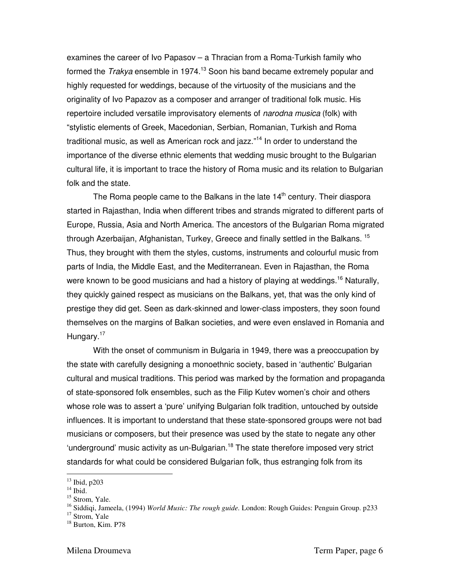examines the career of Ivo Papasov – a Thracian from a Roma-Turkish family who formed the *Trakya* ensemble in 1974.<sup>13</sup> Soon his band became extremely popular and highly requested for weddings, because of the virtuosity of the musicians and the originality of Ivo Papazov as a composer and arranger of traditional folk music. His repertoire included versatile improvisatory elements of *narodna musica* (folk) with "stylistic elements of Greek, Macedonian, Serbian, Romanian, Turkish and Roma traditional music, as well as American rock and jazz."<sup>14</sup> In order to understand the importance of the diverse ethnic elements that wedding music brought to the Bulgarian cultural life, it is important to trace the history of Roma music and its relation to Bulgarian folk and the state.

The Roma people came to the Balkans in the late  $14<sup>th</sup>$  century. Their diaspora started in Rajasthan, India when different tribes and strands migrated to different parts of Europe, Russia, Asia and North America. The ancestors of the Bulgarian Roma migrated through Azerbaijan, Afghanistan, Turkey, Greece and finally settled in the Balkans.<sup>15</sup> Thus, they brought with them the styles, customs, instruments and colourful music from parts of India, the Middle East, and the Mediterranean. Even in Rajasthan, the Roma were known to be good musicians and had a history of playing at weddings.<sup>16</sup> Naturally, they quickly gained respect as musicians on the Balkans, yet, that was the only kind of prestige they did get. Seen as dark-skinned and lower-class imposters, they soon found themselves on the margins of Balkan societies, and were even enslaved in Romania and Hungary.<sup>17</sup>

With the onset of communism in Bulgaria in 1949, there was a preoccupation by the state with carefully designing a monoethnic society, based in 'authentic' Bulgarian cultural and musical traditions. This period was marked by the formation and propaganda of state-sponsored folk ensembles, such as the Filip Kutev women's choir and others whose role was to assert a 'pure' unifying Bulgarian folk tradition, untouched by outside influences. It is important to understand that these state-sponsored groups were not bad musicians or composers, but their presence was used by the state to negate any other 'underground' music activity as un-Bulgarian.<sup>18</sup> The state therefore imposed very strict standards for what could be considered Bulgarian folk, thus estranging folk from its

<sup>&</sup>lt;sup>13</sup> Ibid, p203

 $^{14}$  Ibid.

<sup>&</sup>lt;sup>15</sup> Strom, Yale.

<sup>16</sup> Siddiqi, Jameela, (1994) *World Music: The rough guide.* London: Rough Guides: Penguin Group. p233

 $17$  Strom, Yale

<sup>&</sup>lt;sup>18</sup> Burton, Kim. P78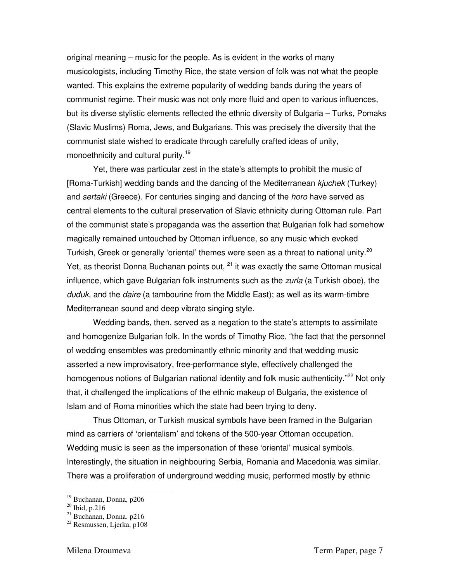original meaning – music for the people. As is evident in the works of many musicologists, including Timothy Rice, the state version of folk was not what the people wanted. This explains the extreme popularity of wedding bands during the years of communist regime. Their music was not only more fluid and open to various influences, but its diverse stylistic elements reflected the ethnic diversity of Bulgaria – Turks, Pomaks (Slavic Muslims) Roma, Jews, and Bulgarians. This was precisely the diversity that the communist state wished to eradicate through carefully crafted ideas of unity, monoethnicity and cultural purity.<sup>19</sup>

Yet, there was particular zest in the state's attempts to prohibit the music of [Roma-Turkish] wedding bands and the dancing of the Mediterranean *kjuchek* (Turkey) and *sertaki* (Greece). For centuries singing and dancing of the *horo* have served as central elements to the cultural preservation of Slavic ethnicity during Ottoman rule. Part of the communist state's propaganda was the assertion that Bulgarian folk had somehow magically remained untouched by Ottoman influence, so any music which evoked Turkish, Greek or generally 'oriental' themes were seen as a threat to national unity.<sup>20</sup> Yet, as theorist Donna Buchanan points out,  $21$  it was exactly the same Ottoman musical influence, which gave Bulgarian folk instruments such as the *zurla* (a Turkish oboe), the *duduk*, and the *daire* (a tambourine from the Middle East); as well as its warm-timbre Mediterranean sound and deep vibrato singing style.

Wedding bands, then, served as a negation to the state's attempts to assimilate and homogenize Bulgarian folk. In the words of Timothy Rice, "the fact that the personnel of wedding ensembles was predominantly ethnic minority and that wedding music asserted a new improvisatory, free-performance style, effectively challenged the homogenous notions of Bulgarian national identity and folk music authenticity."<sup>22</sup> Not only that, it challenged the implications of the ethnic makeup of Bulgaria, the existence of Islam and of Roma minorities which the state had been trying to deny.

Thus Ottoman, or Turkish musical symbols have been framed in the Bulgarian mind as carriers of 'orientalism' and tokens of the 500-year Ottoman occupation. Wedding music is seen as the impersonation of these 'oriental' musical symbols. Interestingly, the situation in neighbouring Serbia, Romania and Macedonia was similar. There was a proliferation of underground wedding music, performed mostly by ethnic

<sup>19</sup> Buchanan, Donna, p206

 $20$  Ibid, p.216

 $21$  Buchanan, Donna. p216

<sup>22</sup> Resmussen, Ljerka, p108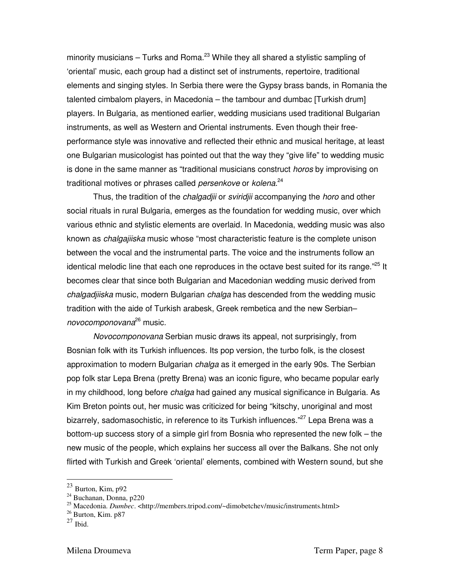minority musicians  $-$  Turks and Roma.<sup>23</sup> While they all shared a stylistic sampling of 'oriental' music, each group had a distinct set of instruments, repertoire, traditional elements and singing styles. In Serbia there were the Gypsy brass bands, in Romania the talented cimbalom players, in Macedonia – the tambour and dumbac [Turkish drum] players. In Bulgaria, as mentioned earlier, wedding musicians used traditional Bulgarian instruments, as well as Western and Oriental instruments. Even though their freeperformance style was innovative and reflected their ethnic and musical heritage, at least one Bulgarian musicologist has pointed out that the way they "give life" to wedding music is done in the same manner as "traditional musicians construct *horos* by improvising on traditional motives or phrases called *persenkove* or *kolena*. 24

Thus, the tradition of the *chalgadjii* or *sviridjii* accompanying the *horo* and other social rituals in rural Bulgaria, emerges as the foundation for wedding music, over which various ethnic and stylistic elements are overlaid. In Macedonia, wedding music was also known as *chalgajiiska* music whose "most characteristic feature is the complete unison between the vocal and the instrumental parts. The voice and the instruments follow an identical melodic line that each one reproduces in the octave best suited for its range."<sup>25</sup> It becomes clear that since both Bulgarian and Macedonian wedding music derived from *chalgadjiiska* music, modern Bulgarian *chalga* has descended from the wedding music tradition with the aide of Turkish arabesk, Greek rembetica and the new Serbian– *novocomponovana*<sup>26</sup> music.

*Novocomponovana* Serbian music draws its appeal, not surprisingly, from Bosnian folk with its Turkish influences. Its pop version, the turbo folk, is the closest approximation to modern Bulgarian *chalga* as it emerged in the early 90s. The Serbian pop folk star Lepa Brena (pretty Brena) was an iconic figure, who became popular early in my childhood, long before *chalga* had gained any musical significance in Bulgaria. As Kim Breton points out, her music was criticized for being "kitschy, unoriginal and most bizarrely, sadomasochistic, in reference to its Turkish influences."<sup>27</sup> Lepa Brena was a bottom-up success story of a simple girl from Bosnia who represented the new folk – the new music of the people, which explains her success all over the Balkans. She not only flirted with Turkish and Greek 'oriental' elements, combined with Western sound, but she

 $23$  Burton, Kim, p $92$ 

<sup>24</sup> Buchanan, Donna, p220

<sup>&</sup>lt;sup>25</sup> Macedonia. *Dumbec*. <http://members.tripod.com/~dimobetchev/music/instruments.html>

<sup>&</sup>lt;sup>26</sup> Burton, Kim. p87

 $^{27}$  Ibid.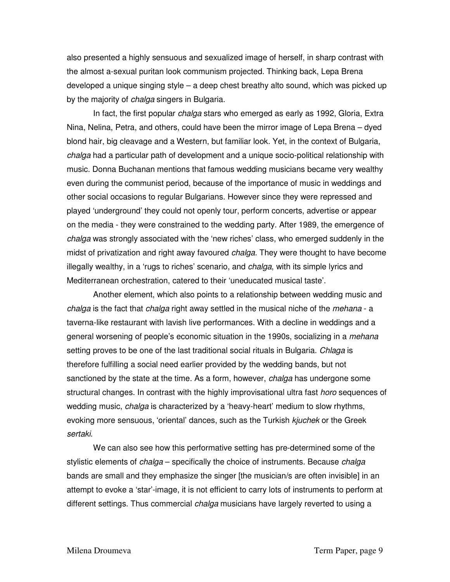also presented a highly sensuous and sexualized image of herself, in sharp contrast with the almost a-sexual puritan look communism projected. Thinking back, Lepa Brena developed a unique singing style – a deep chest breathy alto sound, which was picked up by the majority of *chalga* singers in Bulgaria.

In fact, the first popular *chalga* stars who emerged as early as 1992, Gloria, Extra Nina, Nelina, Petra, and others, could have been the mirror image of Lepa Brena – dyed blond hair, big cleavage and a Western, but familiar look. Yet, in the context of Bulgaria, *chalga* had a particular path of development and a unique socio-political relationship with music. Donna Buchanan mentions that famous wedding musicians became very wealthy even during the communist period, because of the importance of music in weddings and other social occasions to regular Bulgarians. However since they were repressed and played 'underground' they could not openly tour, perform concerts, advertise or appear on the media - they were constrained to the wedding party. After 1989, the emergence of *chalga* was strongly associated with the 'new riches' class, who emerged suddenly in the midst of privatization and right away favoured *chalga*. They were thought to have become illegally wealthy, in a 'rugs to riches' scenario, and *chalga*, with its simple lyrics and Mediterranean orchestration, catered to their 'uneducated musical taste'.

Another element, which also points to a relationship between wedding music and *chalga* is the fact that *chalga* right away settled in the musical niche of the *mehana* - a taverna-like restaurant with lavish live performances. With a decline in weddings and a general worsening of people's economic situation in the 1990s, socializing in a *mehana* setting proves to be one of the last traditional social rituals in Bulgaria. *Chlaga* is therefore fulfilling a social need earlier provided by the wedding bands, but not sanctioned by the state at the time. As a form, however, *chalga* has undergone some structural changes. In contrast with the highly improvisational ultra fast *horo* sequences of wedding music, *chalga* is characterized by a 'heavy-heart' medium to slow rhythms, evoking more sensuous, 'oriental' dances, such as the Turkish *kjuchek* or the Greek *sertaki*.

We can also see how this performative setting has pre-determined some of the stylistic elements of *chalga* – specifically the choice of instruments. Because *chalga* bands are small and they emphasize the singer [the musician/s are often invisible] in an attempt to evoke a 'star'-image, it is not efficient to carry lots of instruments to perform at different settings. Thus commercial *chalga* musicians have largely reverted to using a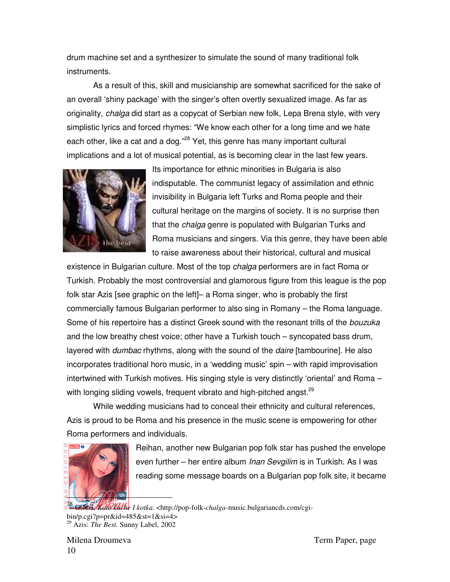drum machine set and a synthesizer to simulate the sound of many traditional folk instruments.

As a result of this, skill and musicianship are somewhat sacrificed for the sake of an overall 'shiny package' with the singer's often overtly sexualized image. As far as originality, *chalga* did start as a copycat of Serbian new folk, Lepa Brena style, with very simplistic lyrics and forced rhymes: "We know each other for a long time and we hate each other, like a cat and a dog."<sup>28</sup> Yet, this genre has many important cultural implications and a lot of musical potential, as is becoming clear in the last few years.



Its importance for ethnic minorities in Bulgaria is also indisputable. The communist legacy of assimilation and ethnic invisibility in Bulgaria left Turks and Roma people and their cultural heritage on the margins of society. It is no surprise then that the *chalga* genre is populated with Bulgarian Turks and Roma musicians and singers. Via this genre, they have been able to raise awareness about their historical, cultural and musical

existence in Bulgarian culture. Most of the top *chalga* performers are in fact Roma or Turkish. Probably the most controversial and glamorous figure from this league is the pop folk star Azis [see graphic on the left]– a Roma singer, who is probably the first commercially famous Bulgarian performer to also sing in Romany – the Roma language. Some of his repertoire has a distinct Greek sound with the resonant trills of the *bouzuka* and the low breathy chest voice; other have a Turkish touch – syncopated bass drum, layered with *dumbac* rhythms, along with the sound of the *daire* [tambourine]. He also incorporates traditional horo music, in a 'wedding music' spin – with rapid improvisation intertwined with Turkish motives. His singing style is very distinctly 'oriental' and Roma – with longing sliding vowels, frequent vibrato and high-pitched angst. $^{29}$ 

While wedding musicians had to conceal their ethnicity and cultural references, Azis is proud to be Roma and his presence in the music scene is empowering for other Roma performers and individuals.



Reihan, another new Bulgarian pop folk star has pushed the envelope even further – her entire album *Inan Sevgilim* is in Turkish. As I was reading some message boards on a Bulgarian pop folk site, it became

<sup>28</sup> Gloria, *Kato kuche I kotka*. <http://pop-folk-*chalga*-music.bulgariancds.com/cgibin/p.cgi?p=pr&id= $485$ &st=1&si= $4>$ <sup>29</sup> Azis: *The Best.* Sunny Label, 2002